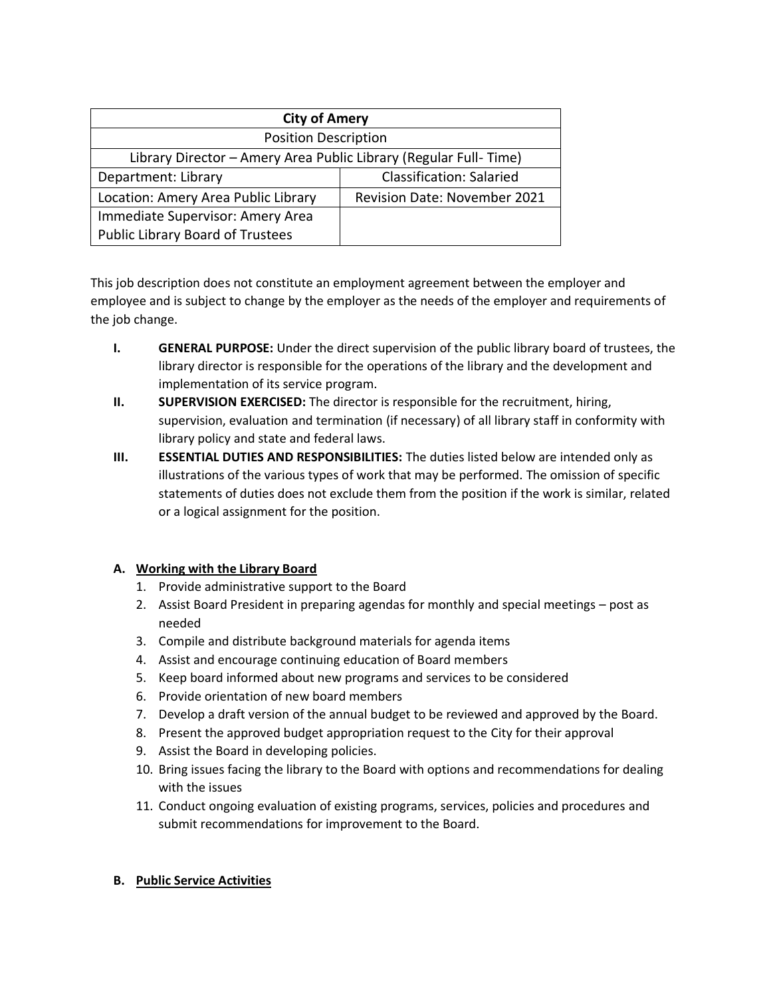| <b>City of Amery</b>                                             |                                     |
|------------------------------------------------------------------|-------------------------------------|
| <b>Position Description</b>                                      |                                     |
| Library Director - Amery Area Public Library (Regular Full-Time) |                                     |
| Department: Library                                              | <b>Classification: Salaried</b>     |
| Location: Amery Area Public Library                              | <b>Revision Date: November 2021</b> |
| Immediate Supervisor: Amery Area                                 |                                     |
| <b>Public Library Board of Trustees</b>                          |                                     |

This job description does not constitute an employment agreement between the employer and employee and is subject to change by the employer as the needs of the employer and requirements of the job change.

- **I. GENERAL PURPOSE:** Under the direct supervision of the public library board of trustees, the library director is responsible for the operations of the library and the development and implementation of its service program.
- **II. SUPERVISION EXERCISED:** The director is responsible for the recruitment, hiring, supervision, evaluation and termination (if necessary) of all library staff in conformity with library policy and state and federal laws.
- **III. ESSENTIAL DUTIES AND RESPONSIBILITIES:** The duties listed below are intended only as illustrations of the various types of work that may be performed. The omission of specific statements of duties does not exclude them from the position if the work is similar, related or a logical assignment for the position.

# **A. Working with the Library Board**

- 1. Provide administrative support to the Board
- 2. Assist Board President in preparing agendas for monthly and special meetings post as needed
- 3. Compile and distribute background materials for agenda items
- 4. Assist and encourage continuing education of Board members
- 5. Keep board informed about new programs and services to be considered
- 6. Provide orientation of new board members
- 7. Develop a draft version of the annual budget to be reviewed and approved by the Board.
- 8. Present the approved budget appropriation request to the City for their approval
- 9. Assist the Board in developing policies.
- 10. Bring issues facing the library to the Board with options and recommendations for dealing with the issues
- 11. Conduct ongoing evaluation of existing programs, services, policies and procedures and submit recommendations for improvement to the Board.

# **B. Public Service Activities**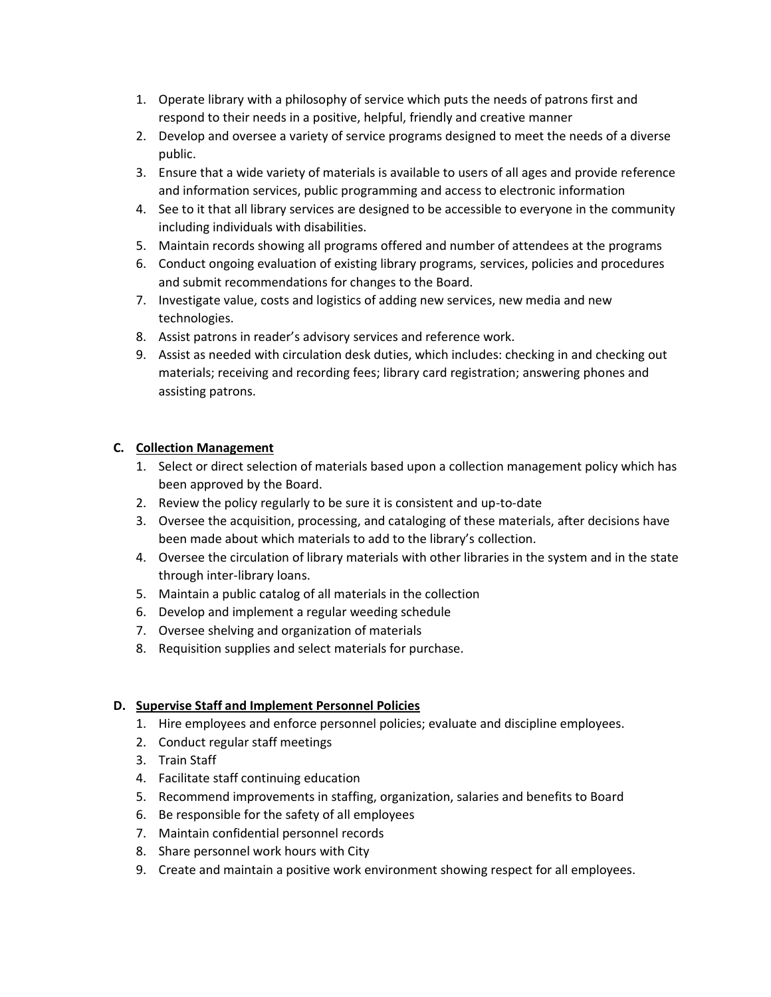- 1. Operate library with a philosophy of service which puts the needs of patrons first and respond to their needs in a positive, helpful, friendly and creative manner
- 2. Develop and oversee a variety of service programs designed to meet the needs of a diverse public.
- 3. Ensure that a wide variety of materials is available to users of all ages and provide reference and information services, public programming and access to electronic information
- 4. See to it that all library services are designed to be accessible to everyone in the community including individuals with disabilities.
- 5. Maintain records showing all programs offered and number of attendees at the programs
- 6. Conduct ongoing evaluation of existing library programs, services, policies and procedures and submit recommendations for changes to the Board.
- 7. Investigate value, costs and logistics of adding new services, new media and new technologies.
- 8. Assist patrons in reader's advisory services and reference work.
- 9. Assist as needed with circulation desk duties, which includes: checking in and checking out materials; receiving and recording fees; library card registration; answering phones and assisting patrons.

# **C. Collection Management**

- 1. Select or direct selection of materials based upon a collection management policy which has been approved by the Board.
- 2. Review the policy regularly to be sure it is consistent and up-to-date
- 3. Oversee the acquisition, processing, and cataloging of these materials, after decisions have been made about which materials to add to the library's collection.
- 4. Oversee the circulation of library materials with other libraries in the system and in the state through inter-library loans.
- 5. Maintain a public catalog of all materials in the collection
- 6. Develop and implement a regular weeding schedule
- 7. Oversee shelving and organization of materials
- 8. Requisition supplies and select materials for purchase.

#### **D. Supervise Staff and Implement Personnel Policies**

- 1. Hire employees and enforce personnel policies; evaluate and discipline employees.
- 2. Conduct regular staff meetings
- 3. Train Staff
- 4. Facilitate staff continuing education
- 5. Recommend improvements in staffing, organization, salaries and benefits to Board
- 6. Be responsible for the safety of all employees
- 7. Maintain confidential personnel records
- 8. Share personnel work hours with City
- 9. Create and maintain a positive work environment showing respect for all employees.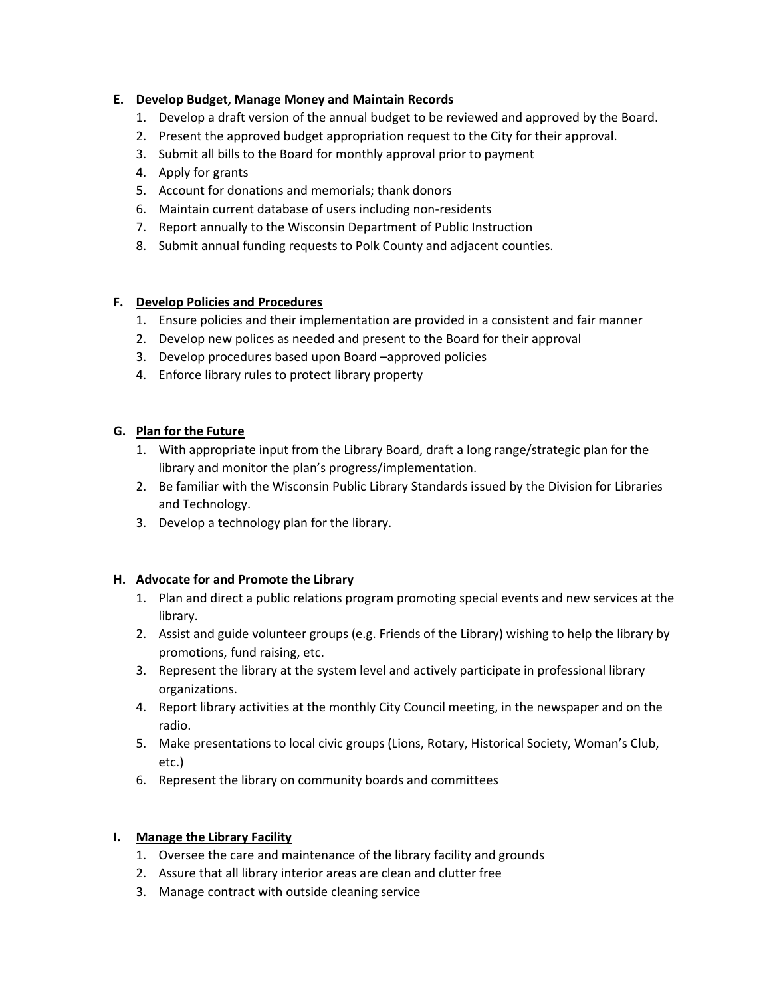# **E. Develop Budget, Manage Money and Maintain Records**

- 1. Develop a draft version of the annual budget to be reviewed and approved by the Board.
- 2. Present the approved budget appropriation request to the City for their approval.
- 3. Submit all bills to the Board for monthly approval prior to payment
- 4. Apply for grants
- 5. Account for donations and memorials; thank donors
- 6. Maintain current database of users including non-residents
- 7. Report annually to the Wisconsin Department of Public Instruction
- 8. Submit annual funding requests to Polk County and adjacent counties.

#### **F. Develop Policies and Procedures**

- 1. Ensure policies and their implementation are provided in a consistent and fair manner
- 2. Develop new polices as needed and present to the Board for their approval
- 3. Develop procedures based upon Board –approved policies
- 4. Enforce library rules to protect library property

### **G. Plan for the Future**

- 1. With appropriate input from the Library Board, draft a long range/strategic plan for the library and monitor the plan's progress/implementation.
- 2. Be familiar with the Wisconsin Public Library Standards issued by the Division for Libraries and Technology.
- 3. Develop a technology plan for the library.

#### **H. Advocate for and Promote the Library**

- 1. Plan and direct a public relations program promoting special events and new services at the library.
- 2. Assist and guide volunteer groups (e.g. Friends of the Library) wishing to help the library by promotions, fund raising, etc.
- 3. Represent the library at the system level and actively participate in professional library organizations.
- 4. Report library activities at the monthly City Council meeting, in the newspaper and on the radio.
- 5. Make presentations to local civic groups (Lions, Rotary, Historical Society, Woman's Club, etc.)
- 6. Represent the library on community boards and committees

#### **I. Manage the Library Facility**

- 1. Oversee the care and maintenance of the library facility and grounds
- 2. Assure that all library interior areas are clean and clutter free
- 3. Manage contract with outside cleaning service